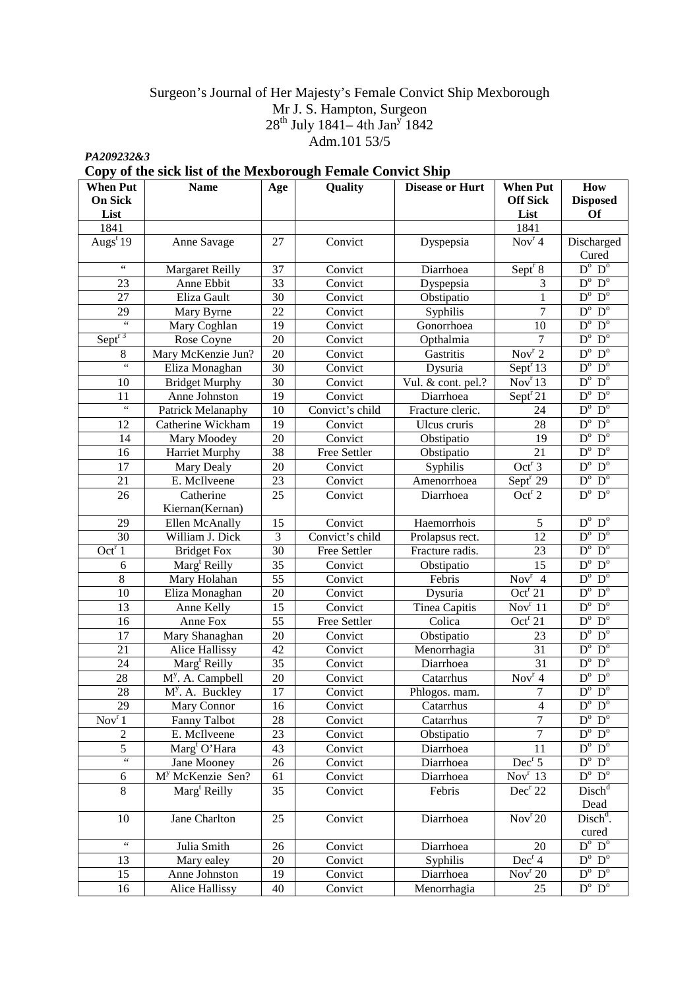# Surgeon's Journal of Her Majesty's Female Convict Ship Mexborough Mr J. S. Hampton, Surgeon  $28^{th}$  July 1841–4th Jan<sup>y</sup> 1842 Adm.101 53/5

*PA209232&3* 

# **Copy of the sick list of the Mexborough Female Convict Ship**

| <b>When Put</b>     | <b>Name</b>                     | Age | Quality             | <b>Disease or Hurt</b> | <b>When Put</b>                      | How                               |
|---------------------|---------------------------------|-----|---------------------|------------------------|--------------------------------------|-----------------------------------|
| <b>On Sick</b>      |                                 |     |                     |                        | <b>Off Sick</b>                      | <b>Disposed</b>                   |
| List                |                                 |     |                     |                        | List                                 | <b>Of</b>                         |
| 1841                |                                 |     |                     |                        | 1841                                 |                                   |
| Augs $19$           | Anne Savage                     | 27  | Convict             | Dyspepsia              | $\overline{\text{Nov}^{\text{r}}}$ 4 | Discharged                        |
|                     |                                 |     |                     |                        |                                      | Cured                             |
| $\zeta\,\zeta$      | <b>Margaret Reilly</b>          | 37  | Convict             | Diarrhoea              | Sept $S$                             | $D^{\circ}$ $D^{\circ}$           |
| 23                  | Anne Ebbit                      | 33  | Convict             | Dyspepsia              | 3                                    | $D^{\mathrm{o}}$ $D^{\mathrm{o}}$ |
| 27                  | Eliza Gault                     | 30  | Convict             | Obstipatio             | $\mathbf{1}$                         | $D^{\mathrm{o}}$ $D^{\mathrm{o}}$ |
| 29                  | Mary Byrne                      | 22  | Convict             | Syphilis               | $\overline{7}$                       | $D^{\mathrm{o}}$ $D^{\mathrm{o}}$ |
| $\overline{\omega}$ | Mary Coghlan                    | 19  | Convict             | Gonorrhoea             | 10                                   | $D^o$ $D^o$                       |
| Sept <sup>r 3</sup> | Rose Coyne                      | 20  | Convict             | Opthalmia              | 7                                    | $D^{\circ}$ $D^{\circ}$           |
| 8                   | Mary McKenzie Jun?              | 20  | Convict             | Gastritis              | Nov <sup>r</sup> 2                   | $D^o$ $D^o$                       |
| $\overline{\omega}$ | Eliza Monaghan                  | 30  | Convict             | Dysuria                | Sept <sup>r</sup> 13                 | $D^{\circ}$ $D^{\circ}$           |
| 10                  | <b>Bridget Murphy</b>           | 30  | Convict             | Vul. & cont. pel.?     | Nov <sup>r</sup> 13                  | $D^o$ $D^o$                       |
| 11                  | Anne Johnston                   | 19  | Convict             | Diarrhoea              | Sept <sup>r</sup> 21                 | $D^{\mathrm{o}}$ $D^{\mathrm{o}}$ |
| $\overline{\omega}$ | Patrick Melanaphy               | 10  | Convict's child     | Fracture cleric.       | 24                                   | $D^{\mathrm{o}}$ $D^{\mathrm{o}}$ |
| 12                  | Catherine Wickham               | 19  | Convict             | Ulcus cruris           | 28                                   | $D^{\mathrm{o}}$ $D^{\mathrm{o}}$ |
| 14                  | Mary Moodey                     | 20  | Convict             | Obstipatio             | 19                                   | $D^{\circ}$ $D^{\circ}$           |
| 16                  | Harriet Murphy                  | 38  | <b>Free Settler</b> | Obstipatio             | 21                                   | $D^o$ $D^o$                       |
| 17                  | Mary Dealy                      | 20  | Convict             | Syphilis               | Oct <sup>r</sup> 3                   | $D^{\circ}$ $D^{\circ}$           |
| 21                  | E. McIlveene                    | 23  | Convict             | Amenorrhoea            | Sept <sup>r</sup> 29                 | $D^{\circ}$ $D^{\circ}$           |
| 26                  | Catherine                       | 25  | Convict             | Diarrhoea              | Oct <sup>r</sup> 2                   | $D^{\circ}$<br>$D^{\circ}$        |
|                     | Kiernan(Kernan)                 |     |                     |                        |                                      |                                   |
| 29                  | Ellen McAnally                  | 15  | Convict             | Haemorrhois            | 5                                    | $D^o\;$ $D^o\;$                   |
| 30                  | William J. Dick                 | 3   | Convict's child     | Prolapsus rect.        | 12                                   | $D^{\circ}$ $D^{\circ}$           |
| Oct <sup>r</sup> 1  | <b>Bridget Fox</b>              | 30  | Free Settler        | Fracture radis.        | 23                                   | $D^{\mathrm{o}}$ $D^{\mathrm{o}}$ |
| 6                   | $\text{Marg}^{\text{t}}$ Reilly | 35  | Convict             | Obstipatio             | 15                                   | $D^{\circ}$ $D^{\circ}$           |
| $8\,$               | Mary Holahan                    | 55  | Convict             | Febris                 | Nov <sup>r</sup> 4                   | $D^o$ $D^o$                       |
| 10                  | Eliza Monaghan                  | 20  | Convict             | Dysuria                | Oct <sup>r</sup> 21                  | $D^o$ $D^o$                       |
| 13                  | Anne Kelly                      | 15  | Convict             | Tinea Capitis          | Nov <sup>r</sup> 11                  | $D^o$ $D^o$                       |
| 16                  | Anne Fox                        | 55  | Free Settler        | Colica                 | Oct <sup>r</sup> 21                  | $D^{\circ}$ $D^{\circ}$           |
| 17                  | Mary Shanaghan                  | 20  | Convict             | Obstipatio             | 23                                   | $D^o$ $D^o$                       |
| 21                  | <b>Alice Hallissy</b>           | 42  | Convict             | Menorrhagia            | 31                                   | $D^o$ $D^o$                       |
| 24                  | $\text{Marg}^{\text{t}}$ Reilly | 35  | Convict             | Diarrhoea              | 31                                   | $D^{\circ}$ $D^{\circ}$           |
| 28                  | M <sup>y</sup> . A. Campbell    | 20  | Convict             | Catarrhus              | Nov <sup>r</sup> 4                   | $D^o$ $D^o$                       |
| 28                  | $My$ . A. Buckley               | 17  | Convict             | Phlogos. mam.          | 7                                    | $D^o$ $D^o$                       |
| $\overline{29}$     | Mary Connor                     | 16  | Convict             | Catarrhus              | $\overline{4}$                       | $D^o$ $D^o$                       |
| Nov <sup>r</sup> 1  | <b>Fanny Talbot</b>             | 28  | Convict             | Catarrhus              | 7                                    | $D^{\circ}$ $D^{\circ}$           |
| $\overline{c}$      | E. McIlveene                    | 23  | Convict             | Obstipatio             |                                      | $D^{\mathrm{o}}$ $D^{\mathrm{o}}$ |
| $\overline{5}$      | $\text{Marg}^{\text{t}}$ O'Hara | 43  | Convict             | Diarrhoea              | 11                                   | $D^{\mathrm{o}}$ $D^{\mathrm{o}}$ |
| $\zeta\,\zeta$      | Jane Mooney                     | 26  | Convict             | Diarrhoea              | Dec <sup>r</sup> 5                   | $D^{\mathrm{o}}$ $D^{\mathrm{o}}$ |
| 6                   | M <sup>y</sup> McKenzie Sen?    | 61  | Convict             | Diarrhoea              | Nov <sup>r</sup> 13                  | $D^o$ $D^o$                       |
| 8                   | Marg <sup>t</sup> Reilly        | 35  | Convict             | Febris                 | Dec <sup>r</sup> 22                  | Disch <sup>d</sup>                |
|                     |                                 |     |                     |                        |                                      | Dead                              |
| 10                  | Jane Charlton                   | 25  | Convict             | Diarrhoea              | Nov <sup>r</sup> 20                  | Disch <sup>d</sup> .              |
|                     |                                 |     |                     |                        |                                      | cured                             |
| $\zeta\,\zeta$      | Julia Smith                     | 26  | Convict             | Diarrhoea              | 20                                   | $D^{\mathrm{o}}$ $D^{\mathrm{o}}$ |
| 13                  | Mary ealey                      | 20  | Convict             | Syphilis               | Dec <sup>r</sup> 4                   | $D^{\circ}$ $D^{\circ}$           |
| 15                  | Anne Johnston                   | 19  | Convict             | Diarrhoea              | Nov <sup>r</sup> 20                  | $D^{\circ}$ $D^{\circ}$           |
| 16                  | <b>Alice Hallissy</b>           | 40  | Convict             | Menorrhagia            | 25                                   | $D^{\mathrm{o}}$ $D^{\mathrm{o}}$ |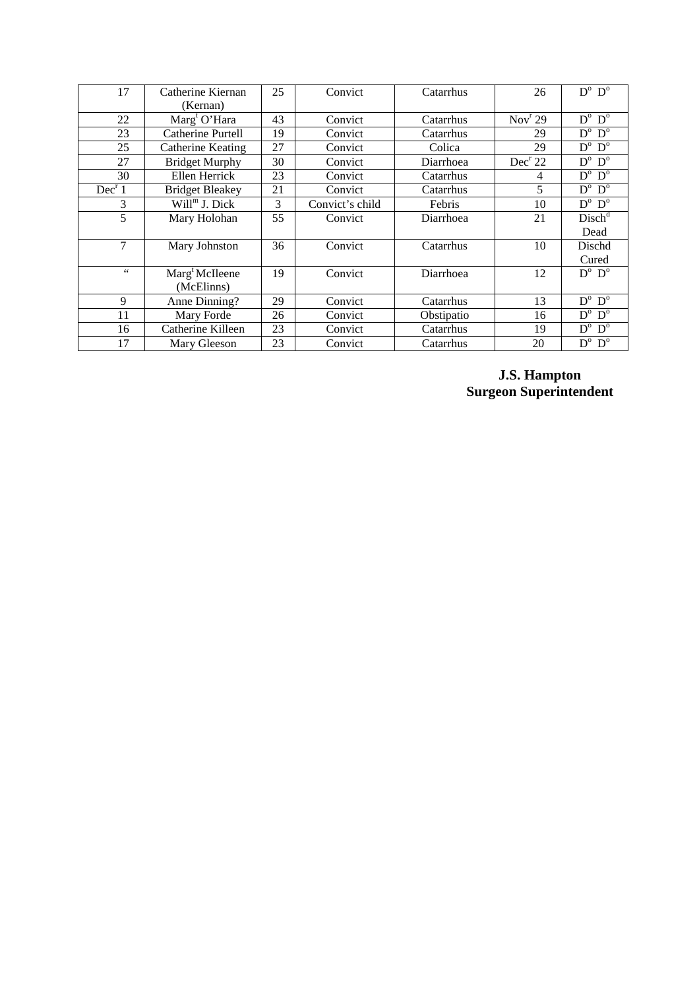| 17                 | Catherine Kiernan               | 25 | Convict         | Catarrhus  | 26                  | $D^{\mathrm{o}}$ $D^{\mathrm{o}}$ |
|--------------------|---------------------------------|----|-----------------|------------|---------------------|-----------------------------------|
|                    | (Kernan)                        |    |                 |            |                     |                                   |
| 22                 | $\text{Marg}^{\text{t}}$ O'Hara | 43 | Convict         | Catarrhus  | Nov <sup>r</sup> 29 | $D^o\;$ $D^o\;$                   |
| 23                 | Catherine Purtell               | 19 | Convict         | Catarrhus  | 29                  | $D^{\circ}$ $D^{\circ}$           |
| 25                 | Catherine Keating               | 27 | Convict         | Colica     | 29                  | $D^{\mathrm{o}}$ $D^{\mathrm{o}}$ |
| 27                 | <b>Bridget Murphy</b>           | 30 | Convict         | Diarrhoea  | Dec <sup>r</sup> 22 | $D^{\mathrm{o}}$ $D^{\mathrm{o}}$ |
| 30                 | Ellen Herrick                   | 23 | Convict         | Catarrhus  | 4                   | $D^o\;$ $D^o\;$                   |
| Dec <sup>r</sup> 1 | <b>Bridget Bleakey</b>          | 21 | Convict         | Catarrhus  | 5                   | $D^{\mathrm{o}}$ $D^{\mathrm{o}}$ |
| 3                  | $Willm$ J. Dick                 | 3  | Convict's child | Febris     | 10                  | $D^{\mathrm{o}}$ $D^{\mathrm{o}}$ |
| 5                  | Mary Holohan                    | 55 | Convict         | Diarrhoea  | 21                  | Disch <sup>d</sup>                |
|                    |                                 |    |                 |            |                     | Dead                              |
| $\tau$             | Mary Johnston                   | 36 | Convict         | Catarrhus  | 10                  | Dischd                            |
|                    |                                 |    |                 |            |                     | Cured                             |
| $\zeta\,\zeta$     | Marg <sup>t</sup> McIleene      | 19 | Convict         | Diarrhoea  | 12                  | $D^{\circ}$ $D^{\circ}$           |
|                    | (McElinns)                      |    |                 |            |                     |                                   |
| 9                  | Anne Dinning?                   | 29 | Convict         | Catarrhus  | 13                  | $D^{\mathrm{o}}$ $D^{\mathrm{o}}$ |
| 11                 | Mary Forde                      | 26 | Convict         | Obstipatio | 16                  | $D^{\mathrm{o}}$ $D^{\mathrm{o}}$ |
| 16                 | Catherine Killeen               | 23 | Convict         | Catarrhus  | 19                  | $D^{\mathrm{o}}$ $D^{\mathrm{o}}$ |
| 17                 | Mary Gleeson                    | 23 | Convict         | Catarrhus  | 20                  | $D^o$ $D^o$                       |

**J.S. Hampton Surgeon Superintendent**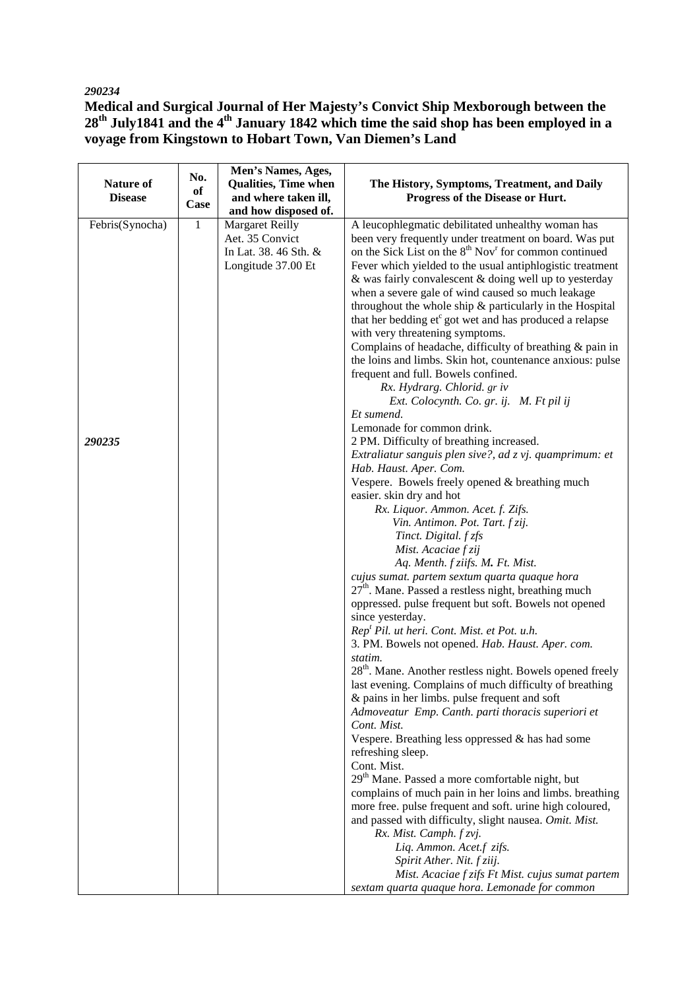# *290234*

**Medical and Surgical Journal of Her Majesty's Convict Ship Mexborough between the 28th July1841 and the 4th January 1842 which time the said shop has been employed in a voyage from Kingstown to Hobart Town, Van Diemen's Land** 

|                  | No.          | Men's Names, Ages,          |                                                                               |
|------------------|--------------|-----------------------------|-------------------------------------------------------------------------------|
| <b>Nature of</b> | of           | <b>Qualities, Time when</b> | The History, Symptoms, Treatment, and Daily                                   |
| <b>Disease</b>   | Case         | and where taken ill,        | Progress of the Disease or Hurt.                                              |
|                  |              | and how disposed of.        |                                                                               |
| Febris(Synocha)  | $\mathbf{1}$ | <b>Margaret Reilly</b>      | A leucophlegmatic debilitated unhealthy woman has                             |
|                  |              | Aet. 35 Convict             | been very frequently under treatment on board. Was put                        |
|                  |              | In Lat. 38. 46 Sth. &       | on the Sick List on the 8 <sup>th</sup> Nov <sup>r</sup> for common continued |
|                  |              | Longitude 37.00 Et          | Fever which yielded to the usual antiphlogistic treatment                     |
|                  |              |                             | & was fairly convalescent & doing well up to yesterday                        |
|                  |              |                             | when a severe gale of wind caused so much leakage                             |
|                  |              |                             | throughout the whole ship & particularly in the Hospital                      |
|                  |              |                             | that her bedding et <sup>c</sup> got wet and has produced a relapse           |
|                  |              |                             | with very threatening symptoms.                                               |
|                  |              |                             | Complains of headache, difficulty of breathing & pain in                      |
|                  |              |                             | the loins and limbs. Skin hot, countenance anxious: pulse                     |
|                  |              |                             | frequent and full. Bowels confined.<br>Rx. Hydrarg. Chlorid. gr iv            |
|                  |              |                             | Ext. Colocynth. Co. gr. ij. M. Ft pil ij                                      |
|                  |              |                             | Et sumend.                                                                    |
|                  |              |                             | Lemonade for common drink.                                                    |
| 290235           |              |                             | 2 PM. Difficulty of breathing increased.                                      |
|                  |              |                             | Extraliatur sanguis plen sive?, ad z vj. quamprimum: et                       |
|                  |              |                             | Hab. Haust. Aper. Com.                                                        |
|                  |              |                             | Vespere. Bowels freely opened & breathing much                                |
|                  |              |                             | easier. skin dry and hot                                                      |
|                  |              |                             | Rx. Liquor. Ammon. Acet. f. Zifs.                                             |
|                  |              |                             | Vin. Antimon. Pot. Tart. f zij.                                               |
|                  |              |                             | Tinct. Digital. f zfs                                                         |
|                  |              |                             | Mist. Acaciae f zij                                                           |
|                  |              |                             | Aq. Menth. f ziifs. M. Ft. Mist.                                              |
|                  |              |                             | cujus sumat. partem sextum quarta quaque hora                                 |
|                  |              |                             | 27 <sup>th</sup> . Mane. Passed a restless night, breathing much              |
|                  |              |                             | oppressed. pulse frequent but soft. Bowels not opened                         |
|                  |              |                             | since yesterday.<br>Rep <sup>t</sup> Pil. ut heri. Cont. Mist. et Pot. u.h.   |
|                  |              |                             | 3. PM. Bowels not opened. Hab. Haust. Aper. com.                              |
|                  |              |                             | statim.                                                                       |
|                  |              |                             | 28 <sup>th</sup> . Mane. Another restless night. Bowels opened freely         |
|                  |              |                             | last evening. Complains of much difficulty of breathing                       |
|                  |              |                             | & pains in her limbs. pulse frequent and soft                                 |
|                  |              |                             | Admoveatur Emp. Canth. parti thoracis superiori et                            |
|                  |              |                             | Cont. Mist.                                                                   |
|                  |              |                             | Vespere. Breathing less oppressed $\&$ has had some                           |
|                  |              |                             | refreshing sleep.                                                             |
|                  |              |                             | Cont. Mist.                                                                   |
|                  |              |                             | 29 <sup>th</sup> Mane. Passed a more comfortable night, but                   |
|                  |              |                             | complains of much pain in her loins and limbs. breathing                      |
|                  |              |                             | more free. pulse frequent and soft. urine high coloured,                      |
|                  |              |                             | and passed with difficulty, slight nausea. Omit. Mist.                        |
|                  |              |                             | Rx. Mist. Camph. f zvj.                                                       |
|                  |              |                             | Liq. Ammon. Acet.f zifs.<br>Spirit Ather. Nit. f ziij.                        |
|                  |              |                             | Mist. Acaciae f zifs Ft Mist. cujus sumat partem                              |
|                  |              |                             | sextam quarta quaque hora. Lemonade for common                                |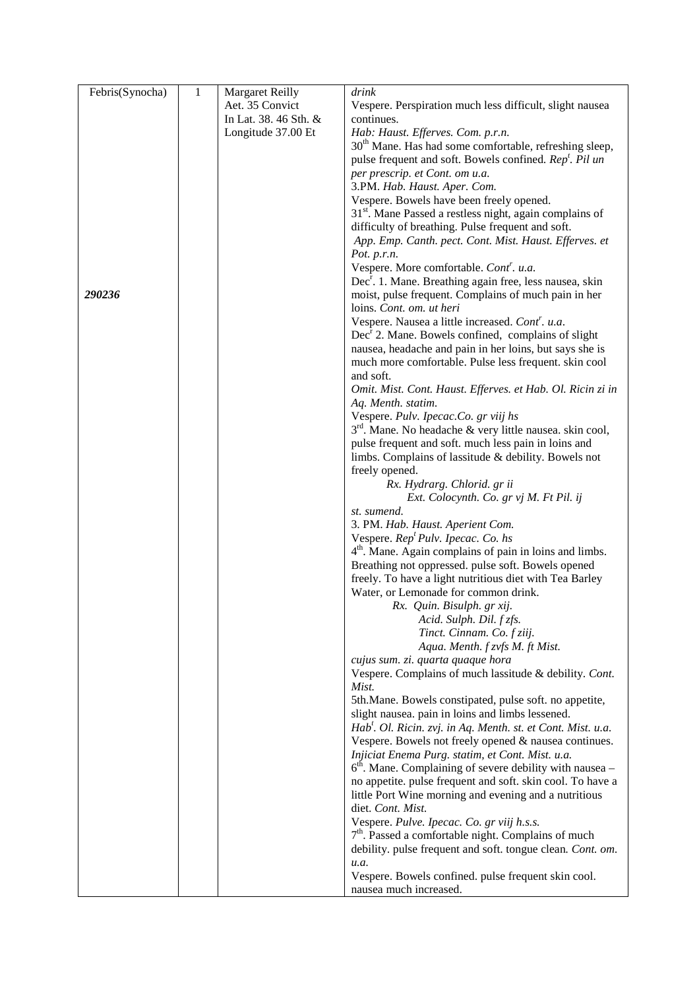| Febris(Synocha) | $\mathbf{1}$ | <b>Margaret Reilly</b> | drink                                                                                                                     |
|-----------------|--------------|------------------------|---------------------------------------------------------------------------------------------------------------------------|
|                 |              | Aet. 35 Convict        | Vespere. Perspiration much less difficult, slight nausea                                                                  |
|                 |              | In Lat. 38. 46 Sth. &  | continues.                                                                                                                |
|                 |              | Longitude 37.00 Et     | Hab: Haust. Efferves. Com. p.r.n.                                                                                         |
|                 |              |                        | 30 <sup>th</sup> Mane. Has had some comfortable, refreshing sleep,                                                        |
|                 |              |                        | pulse frequent and soft. Bowels confined. Rep <sup>t</sup> . Pil un                                                       |
|                 |              |                        | per prescrip. et Cont. om u.a.                                                                                            |
|                 |              |                        | 3.PM. Hab. Haust. Aper. Com.                                                                                              |
|                 |              |                        | Vespere. Bowels have been freely opened.<br>$31st$ . Mane Passed a restless night, again complains of                     |
|                 |              |                        | difficulty of breathing. Pulse frequent and soft.                                                                         |
|                 |              |                        | App. Emp. Canth. pect. Cont. Mist. Haust. Efferves. et                                                                    |
|                 |              |                        | Pot. p.r.n.                                                                                                               |
|                 |              |                        | Vespere. More comfortable. Cont <sup>r</sup> . u.a.                                                                       |
|                 |              |                        | Dec <sup>r</sup> . 1. Mane. Breathing again free, less nausea, skin                                                       |
| 290236          |              |                        | moist, pulse frequent. Complains of much pain in her                                                                      |
|                 |              |                        | loins. Cont. om. ut heri                                                                                                  |
|                 |              |                        | Vespere. Nausea a little increased. Cont <sup>r</sup> . u.a.                                                              |
|                 |              |                        | $Decr$ 2. Mane. Bowels confined, complains of slight                                                                      |
|                 |              |                        | nausea, headache and pain in her loins, but says she is                                                                   |
|                 |              |                        | much more comfortable. Pulse less frequent. skin cool                                                                     |
|                 |              |                        | and soft.                                                                                                                 |
|                 |              |                        | Omit. Mist. Cont. Haust. Efferves. et Hab. Ol. Ricin zi in<br>Aq. Menth. statim.                                          |
|                 |              |                        | Vespere. Pulv. Ipecac.Co. gr viij hs                                                                                      |
|                 |              |                        | 3 <sup>rd</sup> . Mane. No headache & very little nausea. skin cool,                                                      |
|                 |              |                        | pulse frequent and soft. much less pain in loins and                                                                      |
|                 |              |                        | limbs. Complains of lassitude $&$ debility. Bowels not                                                                    |
|                 |              |                        | freely opened.                                                                                                            |
|                 |              |                        | Rx. Hydrarg. Chlorid. gr ii                                                                                               |
|                 |              |                        | Ext. Colocynth. Co. gr vj M. Ft Pil. ij                                                                                   |
|                 |              |                        | st. sumend.                                                                                                               |
|                 |              |                        | 3. PM. Hab. Haust. Aperient Com.                                                                                          |
|                 |              |                        | Vespere. Rep <sup>t</sup> Pulv. Ipecac. Co. hs                                                                            |
|                 |              |                        | 4 <sup>th</sup> . Mane. Again complains of pain in loins and limbs.<br>Breathing not oppressed. pulse soft. Bowels opened |
|                 |              |                        | freely. To have a light nutritious diet with Tea Barley                                                                   |
|                 |              |                        | Water, or Lemonade for common drink.                                                                                      |
|                 |              |                        | Rx. Quin. Bisulph. gr xij.                                                                                                |
|                 |              |                        | Acid. Sulph. Dil. f zfs.                                                                                                  |
|                 |              |                        | Tinct. Cinnam. Co. f ziij.                                                                                                |
|                 |              |                        | Aqua. Menth. f zvfs M. ft Mist.                                                                                           |
|                 |              |                        | cujus sum. zi. quarta quaque hora                                                                                         |
|                 |              |                        | Vespere. Complains of much lassitude & debility. Cont.                                                                    |
|                 |              |                        | Mist.                                                                                                                     |
|                 |              |                        | 5th. Mane. Bowels constipated, pulse soft. no appetite,                                                                   |
|                 |              |                        | slight nausea. pain in loins and limbs lessened.<br>Hab'. Ol. Ricin. zvj. in Aq. Menth. st. et Cont. Mist. u.a.           |
|                 |              |                        | Vespere. Bowels not freely opened & nausea continues.                                                                     |
|                 |              |                        | Injiciat Enema Purg. statim, et Cont. Mist. u.a.                                                                          |
|                 |              |                        | $6th$ . Mane. Complaining of severe debility with nausea –                                                                |
|                 |              |                        | no appetite. pulse frequent and soft. skin cool. To have a                                                                |
|                 |              |                        | little Port Wine morning and evening and a nutritious                                                                     |
|                 |              |                        | diet. Cont. Mist.                                                                                                         |
|                 |              |                        | Vespere. Pulve. Ipecac. Co. gr viij h.s.s.                                                                                |
|                 |              |                        | $7th$ . Passed a comfortable night. Complains of much                                                                     |
|                 |              |                        | debility. pulse frequent and soft. tongue clean. Cont. om.                                                                |
|                 |              |                        | u.a.                                                                                                                      |
|                 |              |                        | Vespere. Bowels confined. pulse frequent skin cool.                                                                       |
|                 |              |                        | nausea much increased.                                                                                                    |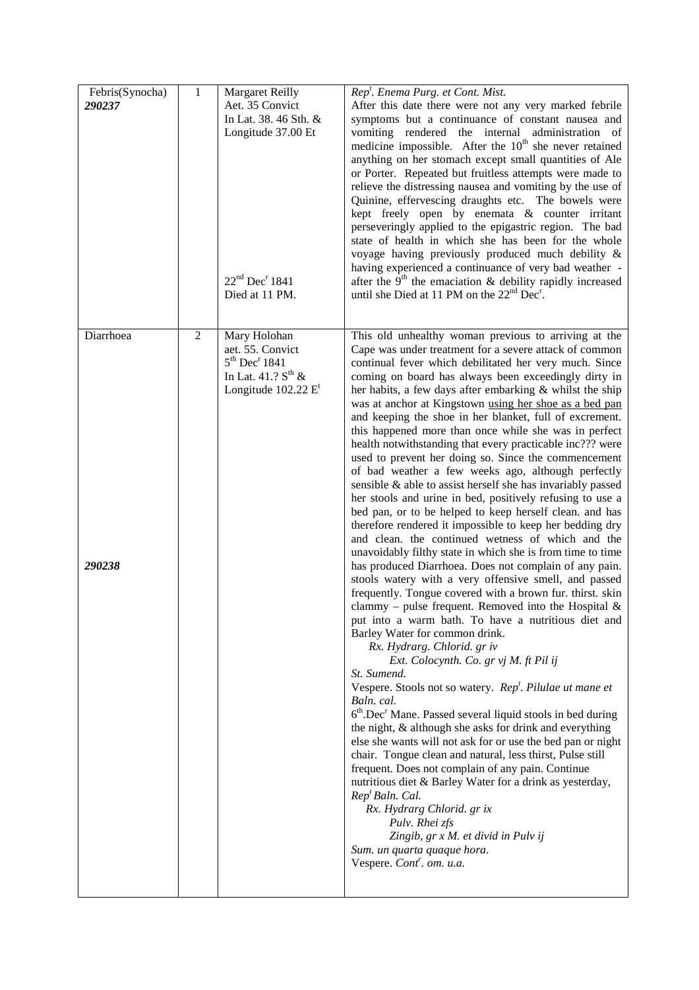| Febris(Synocha)<br>290237 | 1          | <b>Margaret Reilly</b><br>Aet. 35 Convict<br>In Lat. 38. 46 Sth. &<br>Longitude 37.00 Et<br>$22nd$ Dec <sup>r</sup> 1841<br>Died at 11 PM. | Rep <sup>t</sup> . Enema Purg. et Cont. Mist.<br>After this date there were not any very marked febrile<br>symptoms but a continuance of constant nausea and<br>vomiting rendered the internal administration of<br>medicine impossible. After the $10th$ she never retained<br>anything on her stomach except small quantities of Ale<br>or Porter. Repeated but fruitless attempts were made to<br>relieve the distressing nausea and vomiting by the use of<br>Quinine, effervescing draughts etc. The bowels were<br>kept freely open by enemata & counter irritant<br>perseveringly applied to the epigastric region. The bad<br>state of health in which she has been for the whole<br>voyage having previously produced much debility &<br>having experienced a continuance of very bad weather -<br>after the $9th$ the emaciation & debility rapidly increased<br>until she Died at 11 PM on the 22 <sup>nd</sup> Dec <sup>r</sup> .                                                                                                                                                                                                                                                                                                                                                                                                                                                                                                                                                                                                                                                                                                                                                                                                                                                                                                                                                                                                                                                                                                                                                                                    |
|---------------------------|------------|--------------------------------------------------------------------------------------------------------------------------------------------|----------------------------------------------------------------------------------------------------------------------------------------------------------------------------------------------------------------------------------------------------------------------------------------------------------------------------------------------------------------------------------------------------------------------------------------------------------------------------------------------------------------------------------------------------------------------------------------------------------------------------------------------------------------------------------------------------------------------------------------------------------------------------------------------------------------------------------------------------------------------------------------------------------------------------------------------------------------------------------------------------------------------------------------------------------------------------------------------------------------------------------------------------------------------------------------------------------------------------------------------------------------------------------------------------------------------------------------------------------------------------------------------------------------------------------------------------------------------------------------------------------------------------------------------------------------------------------------------------------------------------------------------------------------------------------------------------------------------------------------------------------------------------------------------------------------------------------------------------------------------------------------------------------------------------------------------------------------------------------------------------------------------------------------------------------------------------------------------------------------------------------|
| Diarrhoea<br>290238       | $\sqrt{2}$ | Mary Holohan<br>aet. 55. Convict<br>5 <sup>th</sup> Dec <sup>r</sup> 1841<br>In Lat. $41.2 S^{th}$ &<br>Longitude $102.22$ E <sup>t</sup>  | This old unhealthy woman previous to arriving at the<br>Cape was under treatment for a severe attack of common<br>continual fever which debilitated her very much. Since<br>coming on board has always been exceedingly dirty in<br>her habits, a few days after embarking & whilst the ship<br>was at anchor at Kingstown using her shoe as a bed pan<br>and keeping the shoe in her blanket, full of excrement.<br>this happened more than once while she was in perfect<br>health notwithstanding that every practicable inc??? were<br>used to prevent her doing so. Since the commencement<br>of bad weather a few weeks ago, although perfectly<br>sensible & able to assist herself she has invariably passed<br>her stools and urine in bed, positively refusing to use a<br>bed pan, or to be helped to keep herself clean. and has<br>therefore rendered it impossible to keep her bedding dry<br>and clean. the continued wetness of which and the<br>unavoidably filthy state in which she is from time to time<br>has produced Diarrhoea. Does not complain of any pain.<br>stools watery with a very offensive smell, and passed<br>frequently. Tongue covered with a brown fur. thirst. skin<br>clammy – pulse frequent. Removed into the Hospital $\&$<br>put into a warm bath. To have a nutritious diet and<br>Barley Water for common drink.<br>Rx. Hydrarg. Chlorid. gr iv<br>Ext. Colocynth. Co. gr vj M. ft Pil ij<br>St. Sumend.<br>Vespere. Stools not so watery. Rep <sup>t</sup> . Pilulae ut mane et<br>Baln. cal.<br>$6th$ . Dec <sup>r</sup> Mane. Passed several liquid stools in bed during<br>the night, & although she asks for drink and everything<br>else she wants will not ask for or use the bed pan or night<br>chair. Tongue clean and natural, less thirst, Pulse still<br>frequent. Does not complain of any pain. Continue<br>nutritious diet & Barley Water for a drink as yesterday,<br>Rep <sup>t</sup> Baln. Cal.<br>Rx. Hydrarg Chlorid. gr ix<br>Pulv. Rhei zfs<br>Zingib, gr x M. et divid in Pulv ij<br>Sum. un quarta quaque hora.<br>Vespere. Cont <sup>r</sup> . om. u.a. |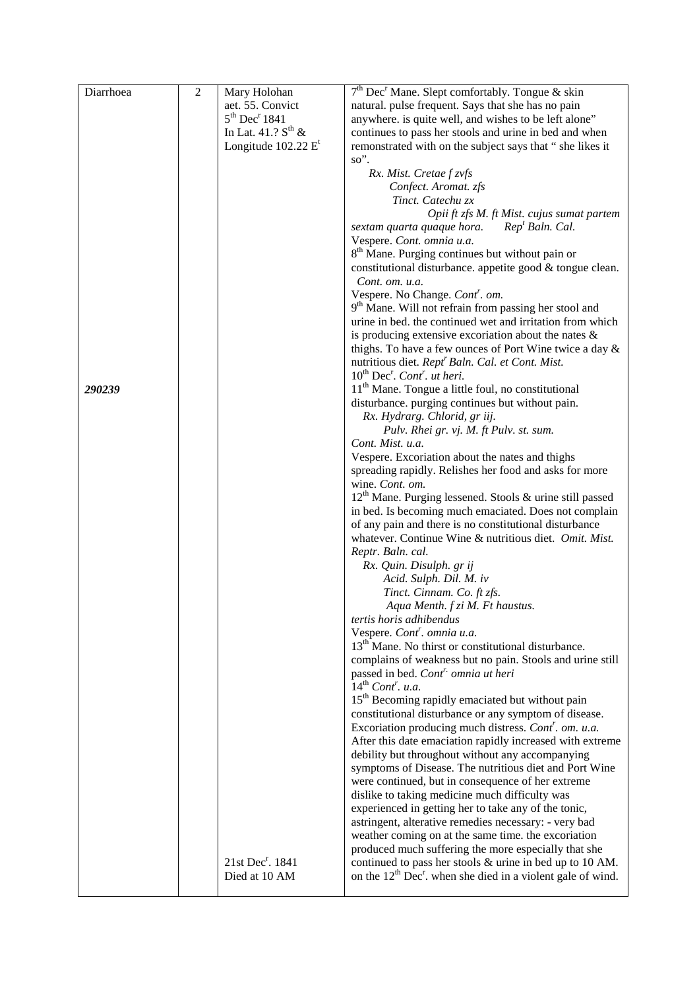| Diarrhoea | $\overline{c}$ | Mary Holohan                          | 7 <sup>th</sup> Dec <sup>r</sup> Mane. Slept comfortably. Tongue & skin                                                        |
|-----------|----------------|---------------------------------------|--------------------------------------------------------------------------------------------------------------------------------|
|           |                | aet. 55. Convict                      | natural. pulse frequent. Says that she has no pain                                                                             |
|           |                | 5 <sup>th</sup> Dec <sup>r</sup> 1841 | anywhere. is quite well, and wishes to be left alone"                                                                          |
|           |                | In Lat. $41.2 S^{th}$ &               | continues to pass her stools and urine in bed and when                                                                         |
|           |                | Longitude $102.22$ E <sup>t</sup>     | remonstrated with on the subject says that " she likes it                                                                      |
|           |                |                                       | so".                                                                                                                           |
|           |                |                                       | Rx. Mist. Cretae f zvfs                                                                                                        |
|           |                |                                       | Confect. Aromat. zfs                                                                                                           |
|           |                |                                       | Tinct. Catechu zx                                                                                                              |
|           |                |                                       | Opii ft zfs M. ft Mist. cujus sumat partem                                                                                     |
|           |                |                                       | sextam quarta quaque hora.<br>Rep <sup>t</sup> Baln. Cal.                                                                      |
|           |                |                                       | Vespere. Cont. omnia u.a.                                                                                                      |
|           |                |                                       | 8 <sup>th</sup> Mane. Purging continues but without pain or                                                                    |
|           |                |                                       | constitutional disturbance. appetite good & tongue clean.                                                                      |
|           |                |                                       | Cont. om. u.a.                                                                                                                 |
|           |                |                                       | Vespere. No Change. Cont'. om.                                                                                                 |
|           |                |                                       | 9 <sup>th</sup> Mane. Will not refrain from passing her stool and<br>urine in bed. the continued wet and irritation from which |
|           |                |                                       | is producing extensive excoriation about the nates $\&$                                                                        |
|           |                |                                       | thighs. To have a few ounces of Port Wine twice a day &                                                                        |
|           |                |                                       | nutritious diet. Rept <sup>r</sup> Baln. Cal. et Cont. Mist.                                                                   |
|           |                |                                       | $10^{th}$ Dec <sup>r</sup> . Cont <sup>r</sup> . ut heri.                                                                      |
| 290239    |                |                                       | 11 <sup>th</sup> Mane. Tongue a little foul, no constitutional                                                                 |
|           |                |                                       | disturbance. purging continues but without pain.                                                                               |
|           |                |                                       | Rx. Hydrarg. Chlorid, gr iij.                                                                                                  |
|           |                |                                       | Pulv. Rhei gr. vj. M. ft Pulv. st. sum.                                                                                        |
|           |                |                                       | Cont. Mist. u.a.                                                                                                               |
|           |                |                                       | Vespere. Excoriation about the nates and thighs                                                                                |
|           |                |                                       | spreading rapidly. Relishes her food and asks for more                                                                         |
|           |                |                                       | wine. Cont. om.                                                                                                                |
|           |                |                                       | 12 <sup>th</sup> Mane. Purging lessened. Stools & urine still passed                                                           |
|           |                |                                       | in bed. Is becoming much emaciated. Does not complain                                                                          |
|           |                |                                       | of any pain and there is no constitutional disturbance                                                                         |
|           |                |                                       | whatever. Continue Wine & nutritious diet. Omit. Mist.                                                                         |
|           |                |                                       | Reptr. Baln. cal.                                                                                                              |
|           |                |                                       | Rx. Quin. Disulph. gr ij                                                                                                       |
|           |                |                                       | Acid. Sulph. Dil. M. iv<br>Tinct. Cinnam. Co. ft zfs.                                                                          |
|           |                |                                       | Aqua Menth. f zi M. Ft haustus.                                                                                                |
|           |                |                                       | tertis horis adhibendus                                                                                                        |
|           |                |                                       | Vespere. Cont <sup>r</sup> . omnia u.a.                                                                                        |
|           |                |                                       | 13 <sup>th</sup> Mane. No thirst or constitutional disturbance.                                                                |
|           |                |                                       | complains of weakness but no pain. Stools and urine still                                                                      |
|           |                |                                       | passed in bed. Cont <sup>r.</sup> omnia ut heri                                                                                |
|           |                |                                       | $14th$ Cont <sup>r</sup> . u.a.                                                                                                |
|           |                |                                       | 15 <sup>th</sup> Becoming rapidly emaciated but without pain                                                                   |
|           |                |                                       | constitutional disturbance or any symptom of disease.                                                                          |
|           |                |                                       | Excoriation producing much distress. Cont'. om. u.a.                                                                           |
|           |                |                                       | After this date emaciation rapidly increased with extreme                                                                      |
|           |                |                                       | debility but throughout without any accompanying                                                                               |
|           |                |                                       | symptoms of Disease. The nutritious diet and Port Wine                                                                         |
|           |                |                                       | were continued, but in consequence of her extreme                                                                              |
|           |                |                                       | dislike to taking medicine much difficulty was                                                                                 |
|           |                |                                       | experienced in getting her to take any of the tonic,                                                                           |
|           |                |                                       | astringent, alterative remedies necessary: - very bad                                                                          |
|           |                |                                       | weather coming on at the same time. the excoriation                                                                            |
|           |                | 21st Dec <sup>r</sup> . 1841          | produced much suffering the more especially that she<br>continued to pass her stools & urine in bed up to 10 AM.               |
|           |                | Died at 10 AM                         | on the $12^{th}$ Dec <sup>r</sup> . when she died in a violent gale of wind.                                                   |
|           |                |                                       |                                                                                                                                |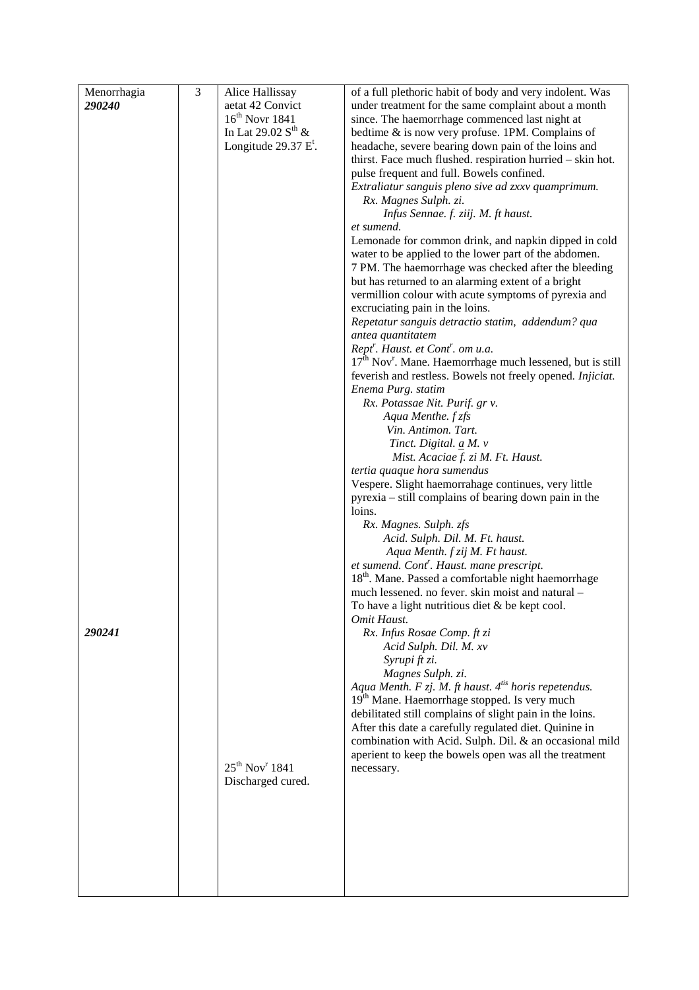| Menorrhagia | $\overline{\mathbf{3}}$ | Alice Hallissay                 | of a full plethoric habit of body and very indolent. Was                                                          |
|-------------|-------------------------|---------------------------------|-------------------------------------------------------------------------------------------------------------------|
| 290240      |                         | aetat 42 Convict                | under treatment for the same complaint about a month                                                              |
|             |                         | $16th$ Novr 1841                | since. The haemorrhage commenced last night at                                                                    |
|             |                         | In Lat 29.02 $S^{th}$ &         | bedtime & is now very profuse. 1PM. Complains of                                                                  |
|             |                         | Longitude $29.37 Et$ .          | headache, severe bearing down pain of the loins and                                                               |
|             |                         |                                 | thirst. Face much flushed. respiration hurried - skin hot.<br>pulse frequent and full. Bowels confined.           |
|             |                         |                                 | Extraliatur sanguis pleno sive ad zxxv quamprimum.                                                                |
|             |                         |                                 | Rx. Magnes Sulph. zi.                                                                                             |
|             |                         |                                 | Infus Sennae. f. ziij. M. ft haust.                                                                               |
|             |                         |                                 | et sumend.                                                                                                        |
|             |                         |                                 | Lemonade for common drink, and napkin dipped in cold                                                              |
|             |                         |                                 | water to be applied to the lower part of the abdomen.                                                             |
|             |                         |                                 | 7 PM. The haemorrhage was checked after the bleeding                                                              |
|             |                         |                                 | but has returned to an alarming extent of a bright                                                                |
|             |                         |                                 | vermillion colour with acute symptoms of pyrexia and<br>excruciating pain in the loins.                           |
|             |                         |                                 | Repetatur sanguis detractio statim, addendum? qua                                                                 |
|             |                         |                                 | antea quantitatem                                                                                                 |
|             |                         |                                 | Rept <sup>r</sup> . Haust. et Cont <sup>r</sup> . om u.a.                                                         |
|             |                         |                                 | 17 <sup>th</sup> Nov <sup>r</sup> . Mane. Haemorrhage much lessened, but is still                                 |
|             |                         |                                 | feverish and restless. Bowels not freely opened. Injiciat.                                                        |
|             |                         |                                 | Enema Purg. statim                                                                                                |
|             |                         |                                 | Rx. Potassae Nit. Purif. gr v.<br>Aqua Menthe. f zfs                                                              |
|             |                         |                                 | Vin. Antimon. Tart.                                                                                               |
|             |                         |                                 | Tinct. Digital. a M. v                                                                                            |
|             |                         |                                 | Mist. Acaciae f. zi M. Ft. Haust.                                                                                 |
|             |                         |                                 | tertia quaque hora sumendus                                                                                       |
|             |                         |                                 | Vespere. Slight haemorrahage continues, very little                                                               |
|             |                         |                                 | pyrexia – still complains of bearing down pain in the                                                             |
|             |                         |                                 | loins.                                                                                                            |
|             |                         |                                 | Rx. Magnes. Sulph. zfs<br>Acid. Sulph. Dil. M. Ft. haust.                                                         |
|             |                         |                                 | Aqua Menth. f zij M. Ft haust.                                                                                    |
|             |                         |                                 | et sumend. Cont <sup>r</sup> . Haust. mane prescript.                                                             |
|             |                         |                                 | 18 <sup>th</sup> . Mane. Passed a comfortable night haemorrhage                                                   |
|             |                         |                                 | much lessened. no fever. skin moist and natural -                                                                 |
|             |                         |                                 | To have a light nutritious diet $&$ be kept cool.                                                                 |
|             |                         |                                 | Omit Haust.                                                                                                       |
| 290241      |                         |                                 | Rx. Infus Rosae Comp. ft zi<br>Acid Sulph. Dil. M. xv                                                             |
|             |                         |                                 | Syrupi ft zi.                                                                                                     |
|             |                         |                                 | Magnes Sulph. zi.                                                                                                 |
|             |                         |                                 | Aqua Menth. F zj. M. ft haust. $4^{i}$ horis repetendus.                                                          |
|             |                         |                                 | 19 <sup>th</sup> Mane. Haemorrhage stopped. Is very much                                                          |
|             |                         |                                 | debilitated still complains of slight pain in the loins.                                                          |
|             |                         |                                 | After this date a carefully regulated diet. Quinine in<br>combination with Acid. Sulph. Dil. & an occasional mild |
|             |                         |                                 | aperient to keep the bowels open was all the treatment                                                            |
|             |                         | $25^{th}$ Nov <sup>r</sup> 1841 | necessary.                                                                                                        |
|             |                         | Discharged cured.               |                                                                                                                   |
|             |                         |                                 |                                                                                                                   |
|             |                         |                                 |                                                                                                                   |
|             |                         |                                 |                                                                                                                   |
|             |                         |                                 |                                                                                                                   |
|             |                         |                                 |                                                                                                                   |
|             |                         |                                 |                                                                                                                   |
|             |                         |                                 |                                                                                                                   |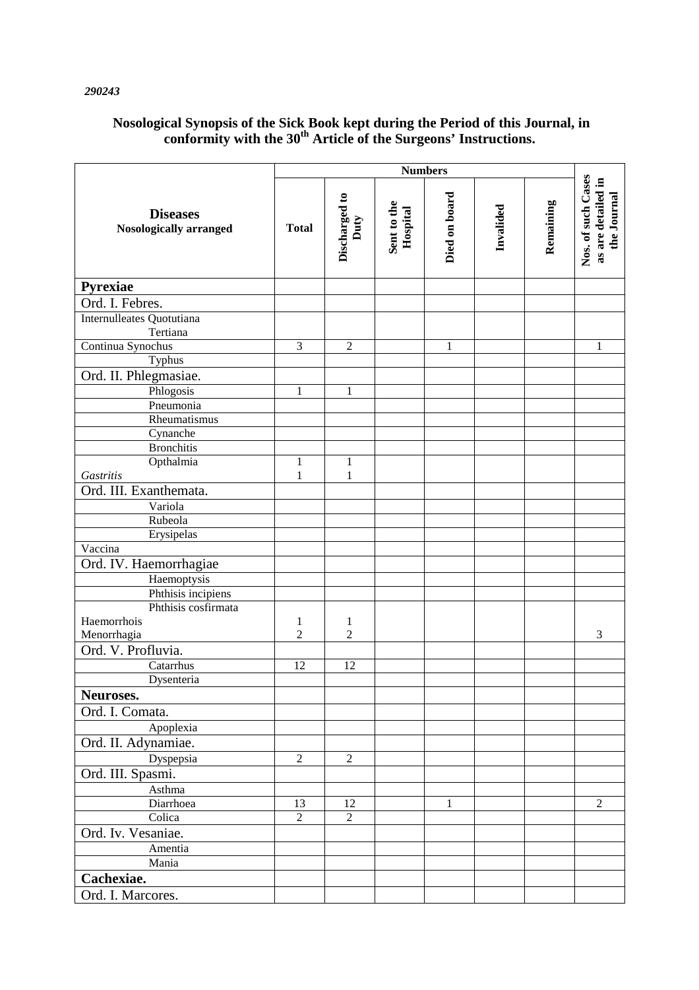# *290243*

# **Nosological Synopsis of the Sick Book kept during the Period of this Journal, in conformity with the 30th Article of the Surgeons' Instructions.**

|                                                  | <b>Numbers</b> |                       |                         |               |           |           |                                                         |
|--------------------------------------------------|----------------|-----------------------|-------------------------|---------------|-----------|-----------|---------------------------------------------------------|
| <b>Diseases</b><br><b>Nosologically arranged</b> | <b>Total</b>   | Discharged to<br>Duty | Sent to the<br>Hospital | Died on board | Invalided | Remaining | Nos. of such Cases<br>as are detailed in<br>the Journal |
| Pyrexiae                                         |                |                       |                         |               |           |           |                                                         |
| Ord. I. Febres.                                  |                |                       |                         |               |           |           |                                                         |
| Internulleates Quotutiana                        |                |                       |                         |               |           |           |                                                         |
| Tertiana                                         |                |                       |                         |               |           |           |                                                         |
| Continua Synochus                                | 3              | $\sqrt{2}$            |                         | 1             |           |           | 1                                                       |
| Typhus                                           |                |                       |                         |               |           |           |                                                         |
| Ord. II. Phlegmasiae.                            |                |                       |                         |               |           |           |                                                         |
| Phlogosis                                        | $\mathbf{1}$   | $\mathbf{1}$          |                         |               |           |           |                                                         |
| Pneumonia                                        |                |                       |                         |               |           |           |                                                         |
| Rheumatismus                                     |                |                       |                         |               |           |           |                                                         |
| Cynanche                                         |                |                       |                         |               |           |           |                                                         |
| <b>Bronchitis</b>                                |                |                       |                         |               |           |           |                                                         |
| Opthalmia                                        | 1              | $\mathbf{1}$          |                         |               |           |           |                                                         |
| <b>Gastritis</b>                                 | $\mathbf{1}$   | $\mathbf{1}$          |                         |               |           |           |                                                         |
| Ord. III. Exanthemata.                           |                |                       |                         |               |           |           |                                                         |
| Variola                                          |                |                       |                         |               |           |           |                                                         |
| Rubeola                                          |                |                       |                         |               |           |           |                                                         |
| Erysipelas                                       |                |                       |                         |               |           |           |                                                         |
| Vaccina                                          |                |                       |                         |               |           |           |                                                         |
| Ord. IV. Haemorrhagiae                           |                |                       |                         |               |           |           |                                                         |
| Haemoptysis                                      |                |                       |                         |               |           |           |                                                         |
| Phthisis incipiens                               |                |                       |                         |               |           |           |                                                         |
| Phthisis cosfirmata                              |                |                       |                         |               |           |           |                                                         |
| Haemorrhois                                      | 1              | $\mathbf{1}$          |                         |               |           |           |                                                         |
| Menorrhagia                                      | $\overline{c}$ | $\overline{c}$        |                         |               |           |           | 3                                                       |
| Ord. V. Profluvia.                               |                |                       |                         |               |           |           |                                                         |
| Catarrhus                                        | 12             | 12                    |                         |               |           |           |                                                         |
| Dysenteria                                       |                |                       |                         |               |           |           |                                                         |
| Neuroses.                                        |                |                       |                         |               |           |           |                                                         |
| Ord. I. Comata.                                  |                |                       |                         |               |           |           |                                                         |
| Apoplexia                                        |                |                       |                         |               |           |           |                                                         |
| Ord. II. Adynamiae.                              |                |                       |                         |               |           |           |                                                         |
| Dyspepsia                                        | $\overline{2}$ | $\overline{2}$        |                         |               |           |           |                                                         |
| Ord. III. Spasmi.                                |                |                       |                         |               |           |           |                                                         |
| Asthma                                           |                |                       |                         |               |           |           |                                                         |
| Diarrhoea                                        | 13             | 12                    |                         | 1             |           |           | $\overline{2}$                                          |
| Colica                                           | $\sqrt{2}$     | $\overline{2}$        |                         |               |           |           |                                                         |
| Ord. Iv. Vesaniae.                               |                |                       |                         |               |           |           |                                                         |
| Amentia                                          |                |                       |                         |               |           |           |                                                         |
| Mania                                            |                |                       |                         |               |           |           |                                                         |
| Cachexiae.                                       |                |                       |                         |               |           |           |                                                         |
| Ord. I. Marcores.                                |                |                       |                         |               |           |           |                                                         |
|                                                  |                |                       |                         |               |           |           |                                                         |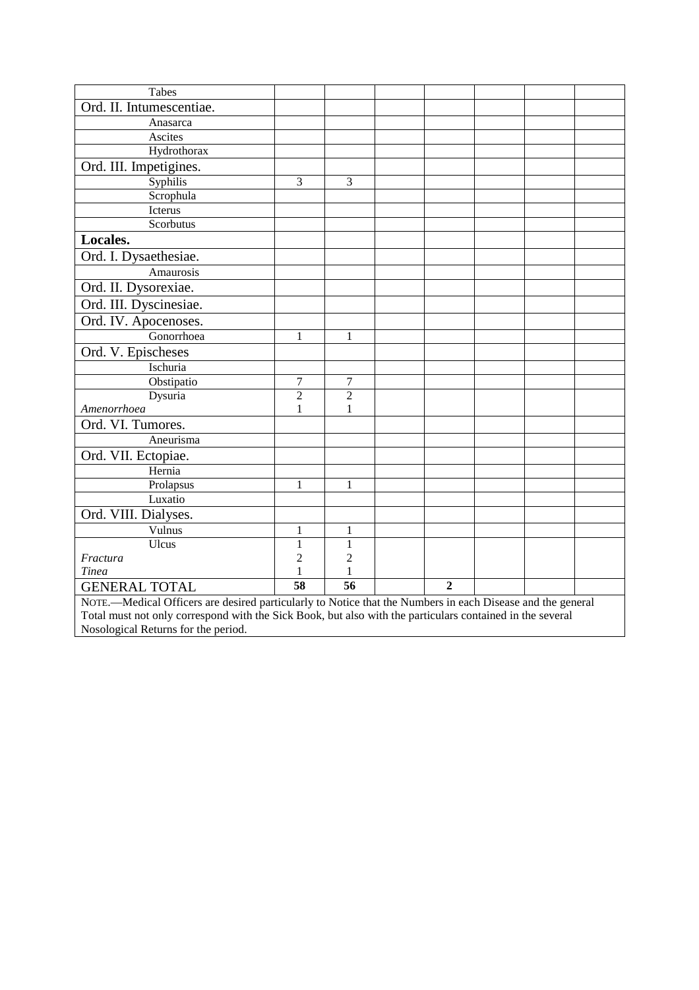| Tabes                                                                                                      |                 |                 |                |  |  |  |  |  |
|------------------------------------------------------------------------------------------------------------|-----------------|-----------------|----------------|--|--|--|--|--|
| Ord. II. Intumescentiae.                                                                                   |                 |                 |                |  |  |  |  |  |
| Anasarca                                                                                                   |                 |                 |                |  |  |  |  |  |
| Ascites                                                                                                    |                 |                 |                |  |  |  |  |  |
| Hydrothorax                                                                                                |                 |                 |                |  |  |  |  |  |
| Ord. III. Impetigines.                                                                                     |                 |                 |                |  |  |  |  |  |
| Syphilis                                                                                                   | 3               | 3               |                |  |  |  |  |  |
| Scrophula                                                                                                  |                 |                 |                |  |  |  |  |  |
| Icterus                                                                                                    |                 |                 |                |  |  |  |  |  |
| Scorbutus                                                                                                  |                 |                 |                |  |  |  |  |  |
| Locales.                                                                                                   |                 |                 |                |  |  |  |  |  |
| Ord. I. Dysaethesiae.                                                                                      |                 |                 |                |  |  |  |  |  |
| Amaurosis                                                                                                  |                 |                 |                |  |  |  |  |  |
| Ord. II. Dysorexiae.                                                                                       |                 |                 |                |  |  |  |  |  |
| Ord. III. Dyscinesiae.                                                                                     |                 |                 |                |  |  |  |  |  |
| Ord. IV. Apocenoses.                                                                                       |                 |                 |                |  |  |  |  |  |
| Gonorrhoea                                                                                                 | $\mathbf{1}$    | 1               |                |  |  |  |  |  |
| Ord. V. Epischeses                                                                                         |                 |                 |                |  |  |  |  |  |
| Ischuria                                                                                                   |                 |                 |                |  |  |  |  |  |
| Obstipatio                                                                                                 | 7               | 7               |                |  |  |  |  |  |
| Dysuria                                                                                                    | $\overline{c}$  | $\overline{c}$  |                |  |  |  |  |  |
| Amenorrhoea                                                                                                | $\mathbf{1}$    | 1               |                |  |  |  |  |  |
| Ord. VI. Tumores.                                                                                          |                 |                 |                |  |  |  |  |  |
| Aneurisma                                                                                                  |                 |                 |                |  |  |  |  |  |
| Ord. VII. Ectopiae.                                                                                        |                 |                 |                |  |  |  |  |  |
| Hernia                                                                                                     |                 |                 |                |  |  |  |  |  |
| Prolapsus                                                                                                  | 1               | 1               |                |  |  |  |  |  |
| Luxatio                                                                                                    |                 |                 |                |  |  |  |  |  |
| Ord. VIII. Dialyses.                                                                                       |                 |                 |                |  |  |  |  |  |
| Vulnus                                                                                                     | 1               | 1               |                |  |  |  |  |  |
| Ulcus                                                                                                      | $\mathbf{1}$    | 1               |                |  |  |  |  |  |
| Fractura                                                                                                   | $\overline{c}$  | $\overline{c}$  |                |  |  |  |  |  |
| <b>Tinea</b>                                                                                               | 1               | 1               |                |  |  |  |  |  |
| <b>GENERAL TOTAL</b>                                                                                       | $\overline{58}$ | $\overline{56}$ | $\overline{2}$ |  |  |  |  |  |
| NOTE.—Medical Officers are desired particularly to Notice that the Numbers in each Disease and the general |                 |                 |                |  |  |  |  |  |
| Total must not only correspond with the Sick Book, but also with the particulars contained in the several  |                 |                 |                |  |  |  |  |  |
| Nosological Returns for the period.                                                                        |                 |                 |                |  |  |  |  |  |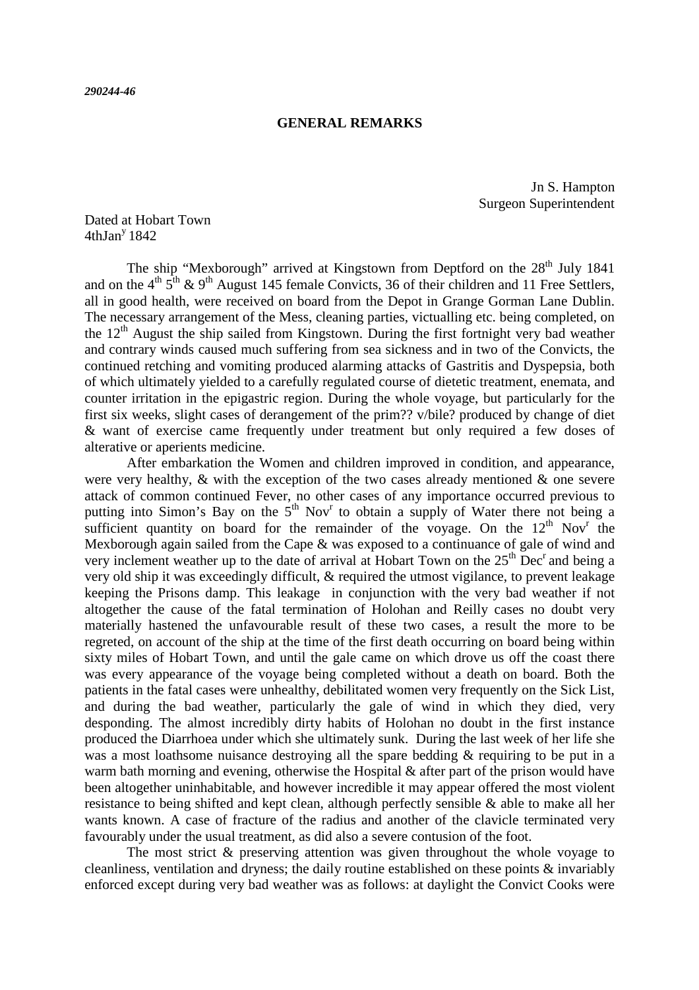#### **GENERAL REMARKS**

Jn S. Hampton Surgeon Superintendent

Dated at Hobart Town  $4th$ Jan<sup>y</sup> 1842

The ship "Mexborough" arrived at Kingstown from Deptford on the 28<sup>th</sup> July 1841 and on the  $4<sup>th</sup> 5<sup>th</sup>$  & 9<sup>th</sup> August 145 female Convicts, 36 of their children and 11 Free Settlers, all in good health, were received on board from the Depot in Grange Gorman Lane Dublin. The necessary arrangement of the Mess, cleaning parties, victualling etc. being completed, on the  $12<sup>th</sup>$  August the ship sailed from Kingstown. During the first fortnight very bad weather and contrary winds caused much suffering from sea sickness and in two of the Convicts, the continued retching and vomiting produced alarming attacks of Gastritis and Dyspepsia, both of which ultimately yielded to a carefully regulated course of dietetic treatment, enemata, and counter irritation in the epigastric region. During the whole voyage, but particularly for the first six weeks, slight cases of derangement of the prim?? v/bile? produced by change of diet & want of exercise came frequently under treatment but only required a few doses of alterative or aperients medicine.

 After embarkation the Women and children improved in condition, and appearance, were very healthy,  $\&$  with the exception of the two cases already mentioned  $\&$  one severe attack of common continued Fever, no other cases of any importance occurred previous to putting into Simon's Bay on the  $5<sup>th</sup>$  Nov<sup>r</sup> to obtain a supply of Water there not being a sufficient quantity on board for the remainder of the voyage. On the  $12<sup>th</sup>$  Nov<sup>r</sup> the Mexborough again sailed from the Cape & was exposed to a continuance of gale of wind and very inclement weather up to the date of arrival at Hobart Town on the  $25<sup>th</sup>$  Dec<sup>r</sup> and being a very old ship it was exceedingly difficult, & required the utmost vigilance, to prevent leakage keeping the Prisons damp. This leakage in conjunction with the very bad weather if not altogether the cause of the fatal termination of Holohan and Reilly cases no doubt very materially hastened the unfavourable result of these two cases, a result the more to be regreted, on account of the ship at the time of the first death occurring on board being within sixty miles of Hobart Town, and until the gale came on which drove us off the coast there was every appearance of the voyage being completed without a death on board. Both the patients in the fatal cases were unhealthy, debilitated women very frequently on the Sick List, and during the bad weather, particularly the gale of wind in which they died, very desponding. The almost incredibly dirty habits of Holohan no doubt in the first instance produced the Diarrhoea under which she ultimately sunk. During the last week of her life she was a most loathsome nuisance destroying all the spare bedding & requiring to be put in a warm bath morning and evening, otherwise the Hospital  $\&$  after part of the prison would have been altogether uninhabitable, and however incredible it may appear offered the most violent resistance to being shifted and kept clean, although perfectly sensible & able to make all her wants known. A case of fracture of the radius and another of the clavicle terminated very favourably under the usual treatment, as did also a severe contusion of the foot.

 The most strict & preserving attention was given throughout the whole voyage to cleanliness, ventilation and dryness; the daily routine established on these points & invariably enforced except during very bad weather was as follows: at daylight the Convict Cooks were